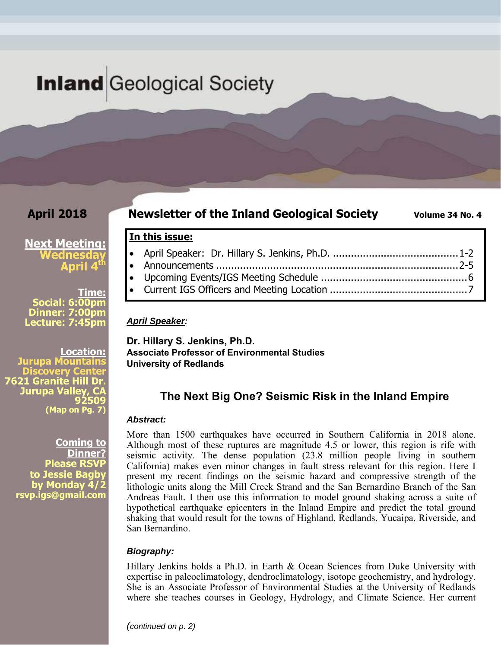# **Inland** Geological Society

## **April 2018**

#### **Newsletter of the Inland Geological Society** Volume 34 No. 4

### **Next Meeting: Wednesday April 4th**

**Time: Social: 6:00pm Dinner: 7:00pm Lecture: 7:45pm** 

**Location:**  pa Mountain **Discovery Center 7621 Granite Hill Dr. Jurupa Valley, 92509 (Map on Pg. 7)**

> **Coming to Dinner? Please RSVP to Jessie Bagby by Monday 4/2 rsvp.igs@gmail.com**

**In this issue:** 

- April Speaker: Dr. Hillary S. Jenkins, Ph.D. .......................................... 1-2 Announcements ................................................................................. 2-5 Upcoming Events/IGS Meeting Schedule ................................................. 6
- Current IGS Officers and Meeting Location .............................................. 7

*April Speaker:* 

**Dr. Hillary S. Jenkins, Ph.D. Associate Professor of Environmental Studies University of Redlands** 

# **The Next Big One? Seismic Risk in the Inland Empire**

#### *Abstract:*

More than 1500 earthquakes have occurred in Southern California in 2018 alone. Although most of these ruptures are magnitude 4.5 or lower, this region is rife with seismic activity. The dense population (23.8 million people living in southern California) makes even minor changes in fault stress relevant for this region. Here I present my recent findings on the seismic hazard and compressive strength of the lithologic units along the Mill Creek Strand and the San Bernardino Branch of the San Andreas Fault. I then use this information to model ground shaking across a suite of hypothetical earthquake epicenters in the Inland Empire and predict the total ground shaking that would result for the towns of Highland, Redlands, Yucaipa, Riverside, and San Bernardino.

#### *Biography:*

Hillary Jenkins holds a Ph.D. in Earth & Ocean Sciences from Duke University with expertise in paleoclimatology, dendroclimatology, isotope geochemistry, and hydrology. She is an Associate Professor of Environmental Studies at the University of Redlands where she teaches courses in Geology, Hydrology, and Climate Science. Her current

*(continued on p. 2)*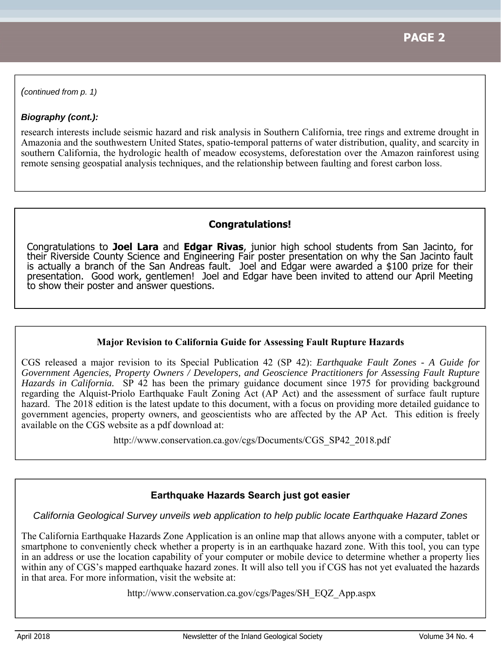*(continued from p. 1)* 

#### *Biography (cont.):*

research interests include seismic hazard and risk analysis in Southern California, tree rings and extreme drought in Amazonia and the southwestern United States, spatio-temporal patterns of water distribution, quality, and scarcity in southern California, the hydrologic health of meadow ecosystems, deforestation over the Amazon rainforest using remote sensing geospatial analysis techniques, and the relationship between faulting and forest carbon loss.

#### **Congratulations!**

Congratulations to **Joel Lara** and **Edgar Rivas**, junior high school students from San Jacinto, for their Riverside County Science and Engineering Fair poster presentation on why the San Jacinto fault is actually a branch of the San Andreas fault. Joel and Edgar were awarded a \$100 prize for their presentation. Good work, gentlemen! Joel and Edgar have been invited to attend our April Meeting to show their poster and answer questions.

#### **Major Revision to California Guide for Assessing Fault Rupture Hazards**

CGS released a major revision to its Special Publication 42 (SP 42): *Earthquake Fault Zones - A Guide for Government Agencies, Property Owners / Developers, and Geoscience Practitioners for Assessing Fault Rupture Hazards in California.* SP 42 has been the primary guidance document since 1975 for providing background regarding the Alquist-Priolo Earthquake Fault Zoning Act (AP Act) and the assessment of surface fault rupture hazard. The 2018 edition is the latest update to this document, with a focus on providing more detailed guidance to government agencies, property owners, and geoscientists who are affected by the AP Act. This edition is freely available on the CGS website as a pdf download at:

http://www.conservation.ca.gov/cgs/Documents/CGS\_SP42\_2018.pdf

#### **Earthquake Hazards Search just got easier**

*California Geological Survey unveils web application to help public locate Earthquake Hazard Zones* 

The California Earthquake Hazards Zone Application is an online map that allows anyone with a computer, tablet or smartphone to conveniently check whether a property is in an earthquake hazard zone. With this tool, you can type in an address or use the location capability of your computer or mobile device to determine whether a property lies within any of CGS's mapped earthquake hazard zones. It will also tell you if CGS has not yet evaluated the hazards in that area. For more information, visit the website at:

http://www.conservation.ca.gov/cgs/Pages/SH\_EQZ\_App.aspx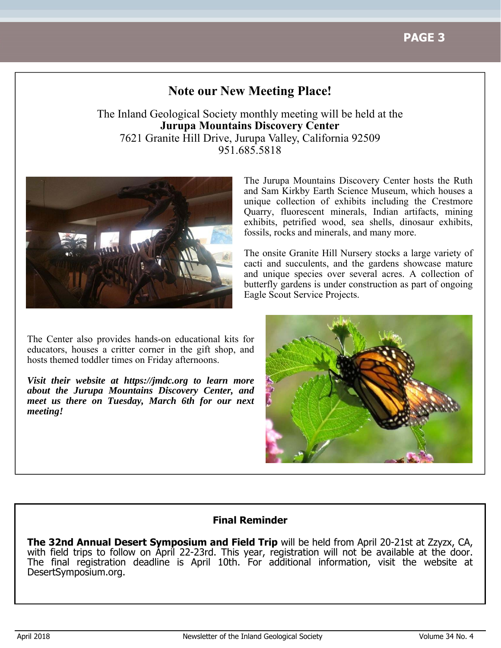# **Note our New Meeting Place!**

The Inland Geological Society monthly meeting will be held at the **Jurupa Mountains Discovery Center** 7621 Granite Hill Drive, Jurupa Valley, California 92509 951.685.5818



The Center also provides hands-on educational kits for educators, houses a critter corner in the gift shop, and hosts themed toddler times on Friday afternoons.

*Visit their website at https://jmdc.org to learn more about the Jurupa Mountains Discovery Center, and meet us there on Tuesday, March 6th for our next meeting!*

The Jurupa Mountains Discovery Center hosts the Ruth and Sam Kirkby Earth Science Museum, which houses a unique collection of exhibits including the Crestmore Quarry, fluorescent minerals, Indian artifacts, mining exhibits, petrified wood, sea shells, dinosaur exhibits, fossils, rocks and minerals, and many more.

The onsite Granite Hill Nursery stocks a large variety of cacti and succulents, and the gardens showcase mature and unique species over several acres. A collection of butterfly gardens is under construction as part of ongoing Eagle Scout Service Projects.



#### **Final Reminder**

**The 32nd Annual Desert Symposium and Field Trip** will be held from April 20-21st at Zzyzx, CA, with field trips to follow on April 22-23rd. This year, registration will not be available at the door. The final registration deadline is April 10th. For additional information, visit the website at DesertSymposium.org.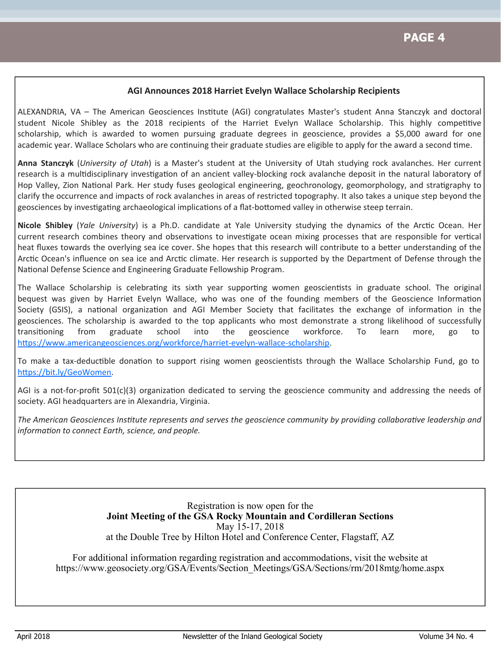#### **AGI Announces 2018 Harriet Evelyn Wallace Scholarship Recipients**

ALEXANDRIA, VA - The American Geosciences Institute (AGI) congratulates Master's student Anna Stanczyk and doctoral student Nicole Shibley as the 2018 recipients of the Harriet Evelyn Wallace Scholarship. This highly competitive scholarship, which is awarded to women pursuing graduate degrees in geoscience, provides a \$5,000 award for one academic year. Wallace Scholars who are continuing their graduate studies are eligible to apply for the award a second time.

**Anna Stanczyk** (*University of Utah*) is a Master's student at the University of Utah studying rock avalanches. Her current research is a multidisciplinary investigation of an ancient valley-blocking rock avalanche deposit in the natural laboratory of Hop Valley, Zion National Park. Her study fuses geological engineering, geochronology, geomorphology, and stratigraphy to clarify the occurrence and impacts of rock avalanches in areas of restricted topography. It also takes a unique step beyond the geosciences by investigating archaeological implications of a flat-bottomed valley in otherwise steep terrain.

Nicole Shibley (*Yale University*) is a Ph.D. candidate at Yale University studying the dynamics of the Arctic Ocean. Her current research combines theory and observations to investigate ocean mixing processes that are responsible for vertical heat fluxes towards the overlying sea ice cover. She hopes that this research will contribute to a better understanding of the Arctic Ocean's influence on sea ice and Arctic climate. Her research is supported by the Department of Defense through the National Defense Science and Engineering Graduate Fellowship Program.

The Wallace Scholarship is celebrating its sixth year supporting women geoscientists in graduate school. The original bequest was given by Harriet Evelyn Wallace, who was one of the founding members of the Geoscience Information Society (GSIS), a national organization and AGI Member Society that facilitates the exchange of information in the geosciences. The scholarship is awarded to the top applicants who most demonstrate a strong likelihood of successfully transitioning from graduate school into the geoscience workforce. To learn more, go to https://www.americangeosciences.org/workforce/harriet-evelyn-wallace-scholarship.

To make a tax-deductible donation to support rising women geoscientists through the Wallace Scholarship Fund, go to https://bit.ly/GeoWomen.

AGI is a not-for-profit 501(c)(3) organization dedicated to serving the geoscience community and addressing the needs of society. AGI headquarters are in Alexandria, Virginia.

The American Geosciences Institute represents and serves the geoscience community by providing collaborative leadership and *informaƟon to connect Earth, science, and people.*

> Registration is now open for the **Joint Meeting of the GSA Rocky Mountain and Cordilleran Sections**  May 15-17, 2018 at the Double Tree by Hilton Hotel and Conference Center, Flagstaff, AZ

For additional information regarding registration and accommodations, visit the website at https://www.geosociety.org/GSA/Events/Section\_Meetings/GSA/Sections/rm/2018mtg/home.aspx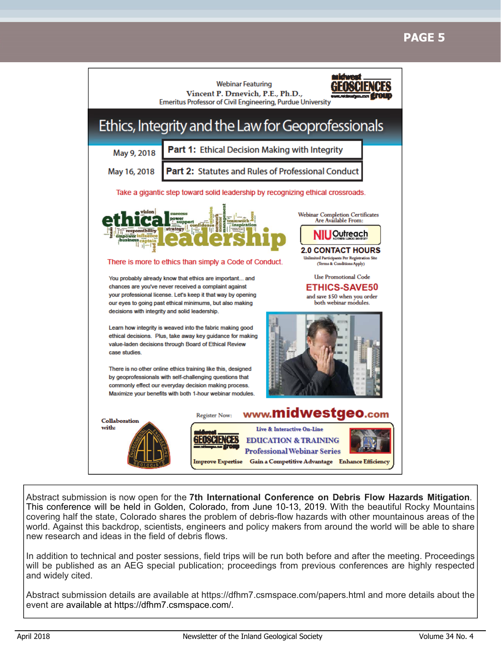# **PAGE 5**



Abstract submission is now open for the **7th International Conference on Debris Flow Hazards Mitigation**. This conference will be held in Golden, Colorado, from June 10-13, 2019. With the beautiful Rocky Mountains covering half the state, Colorado shares the problem of debris-flow hazards with other mountainous areas of the world. Against this backdrop, scientists, engineers and policy makers from around the world will be able to share new research and ideas in the field of debris flows.

In addition to technical and poster sessions, field trips will be run both before and after the meeting. Proceedings will be published as an AEG special publication; proceedings from previous conferences are highly respected and widely cited.

Abstract submission details are available at https://dfhm7.csmspace.com/papers.html and more details about the event are available at https://dfhm7.csmspace.com/.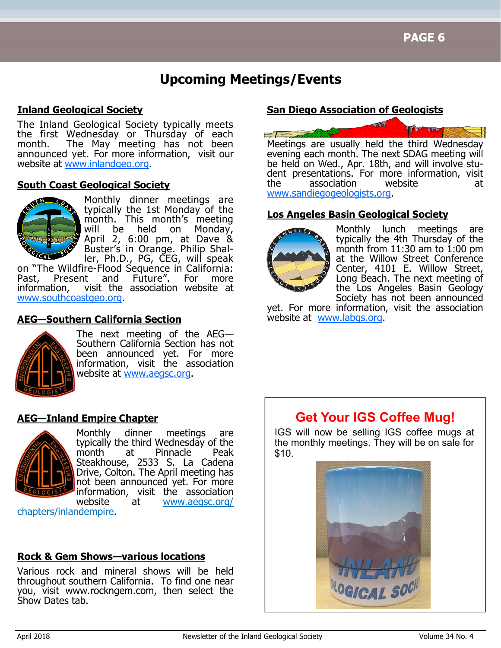# **Upcoming Meetings/Events**

### **Inland Geological Society**

The Inland Geological Society typically meets the first Wednesday or Thursday of each month. The May meeting has not been announced yet. For more information, visit our website at www.inlandgeo.org.

#### **South Coast Geological Society**



Monthly dinner meetings are typically the 1st Monday of the month. This month's meeting<br>will be held on Monday, will be held on April 2, 6:00 pm, at Dave & Buster's in Orange. Philip Shaller, Ph.D., PG, CEG, will speak

on "The Wildfire-Flood Sequence in California: Past, Present and Future". For more information, visit the association website at www.southcoastgeo.org.

### **AEG—Southern California Section**



The next meeting of the AEG— Southern California Section has not been announced yet. For more information, visit the association website at www.aegsc.org.

#### **AEG—Inland Empire Chapter**



Monthly dinner meetings are typically the third Wednesday of the month at Pinnacle Peak Steakhouse, 2533 S. La Cadena Drive, Colton. The April meeting has not been announced yet. For more information, visit the association website at www.aegsc.org/

chapters/inlandempire.

### **Rock & Gem Shows—various locations**

Various rock and mineral shows will be held throughout southern California. To find one near you, visit www.rockngem.com, then select the Show Dates tab.

#### **San Diego Association of Geologists**



evening each month. The next SDAG meeting will be held on Wed., Apr. 18th, and will involve student presentations. For more information, visit the association website at www.sandiegogeologists.org.

#### **Los Angeles Basin Geological Society**



Monthly lunch meetings are typically the 4th Thursday of the month from  $11:30$  am to  $1:00$  pm at the Willow Street Conference Center, 4101 E. Willow Street, Long Beach. The next meeting of the Los Angeles Basin Geology Society has not been announced

yet. For more information, visit the association website at www.labgs.org.

# **Get Your IGS Coffee Mug!**

IGS will now be selling IGS coffee mugs at the monthly meetings. They will be on sale for \$10.